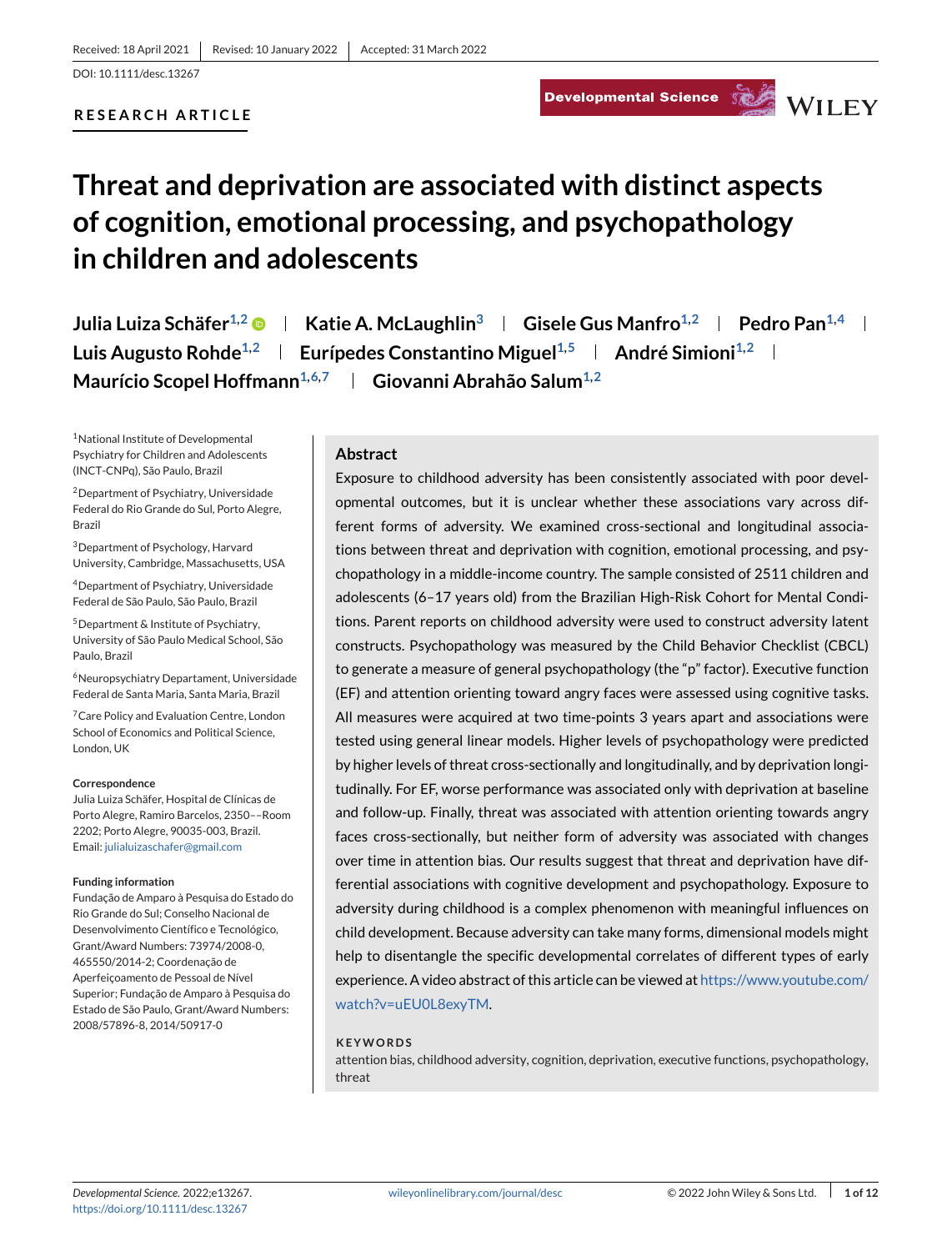#### **RESEARCH ARTICLE**

# Developmental Science Service WILEY



# **Threat and deprivation are associated with distinct aspects of cognition, emotional processing, and psychopathology in children and adolescents**

**Julia Luiza Schäfer**<sup>1,2</sup>  $\bullet$  | Katie A. McLaughlin<sup>3</sup> | Gisele Gus Manfro<sup>1,2</sup> | Pedro Pan<sup>1,4</sup> | **Luis Augusto Rohde<sup>1,2</sup> | Eurípedes Constantino Miguel<sup>1,5</sup> | André Simioni<sup>1,2</sup> |** Maurício Scopel Hoffmann<sup>1,6,7</sup> | Giovanni Abrahão Salum<sup>1,2</sup>

1National Institute of Developmental Psychiatry for Children and Adolescents (INCT-CNPq), São Paulo, Brazil

2Department of Psychiatry, Universidade Federal do Rio Grande do Sul, Porto Alegre, Brazil

3Department of Psychology, Harvard University, Cambridge, Massachusetts, USA

4Department of Psychiatry, Universidade Federal de São Paulo, São Paulo, Brazil

5Department & Institute of Psychiatry, University of São Paulo Medical School, São Paulo, Brazil

6Neuropsychiatry Departament, Universidade Federal de Santa Maria, Santa Maria, Brazil

<sup>7</sup> Care Policy and Evaluation Centre, London School of Economics and Political Science, London, UK

#### **Correspondence**

Julia Luiza Schäfer, Hospital de Clínicas de Porto Alegre, Ramiro Barcelos, 2350––Room 2202; Porto Alegre, 90035-003, Brazil. Email: [julialuizaschafer@gmail.com](mailto:julialuizaschafer@gmail.com)

#### **Funding information**

Fundação de Amparo à Pesquisa do Estado do Rio Grande do Sul; Conselho Nacional de Desenvolvimento Científico e Tecnológico, Grant/Award Numbers: 73974/2008-0, 465550/2014-2; Coordenação de Aperfeiçoamento de Pessoal de Nível Superior; Fundação de Amparo à Pesquisa do Estado de São Paulo, Grant/Award Numbers: 2008/57896-8, 2014/50917-0

#### **Abstract**

Exposure to childhood adversity has been consistently associated with poor developmental outcomes, but it is unclear whether these associations vary across different forms of adversity. We examined cross-sectional and longitudinal associations between threat and deprivation with cognition, emotional processing, and psychopathology in a middle-income country. The sample consisted of 2511 children and adolescents (6–17 years old) from the Brazilian High-Risk Cohort for Mental Conditions. Parent reports on childhood adversity were used to construct adversity latent constructs. Psychopathology was measured by the Child Behavior Checklist (CBCL) to generate a measure of general psychopathology (the "p" factor). Executive function (EF) and attention orienting toward angry faces were assessed using cognitive tasks. All measures were acquired at two time-points 3 years apart and associations were tested using general linear models. Higher levels of psychopathology were predicted by higher levels of threat cross-sectionally and longitudinally, and by deprivation longitudinally. For EF, worse performance was associated only with deprivation at baseline and follow-up. Finally, threat was associated with attention orienting towards angry faces cross-sectionally, but neither form of adversity was associated with changes over time in attention bias. Our results suggest that threat and deprivation have differential associations with cognitive development and psychopathology. Exposure to adversity during childhood is a complex phenomenon with meaningful influences on child development. Because adversity can take many forms, dimensional models might help to disentangle the specific developmental correlates of different types of early experience. A video abstract of this article can be viewed at [https://www.youtube.com/](https://www.youtube.com/watch?v=uEU0L8exyTM) [watch?v=uEU0L8exyTM.](https://www.youtube.com/watch?v=uEU0L8exyTM)

#### **KEYWORDS**

attention bias, childhood adversity, cognition, deprivation, executive functions, psychopathology, threat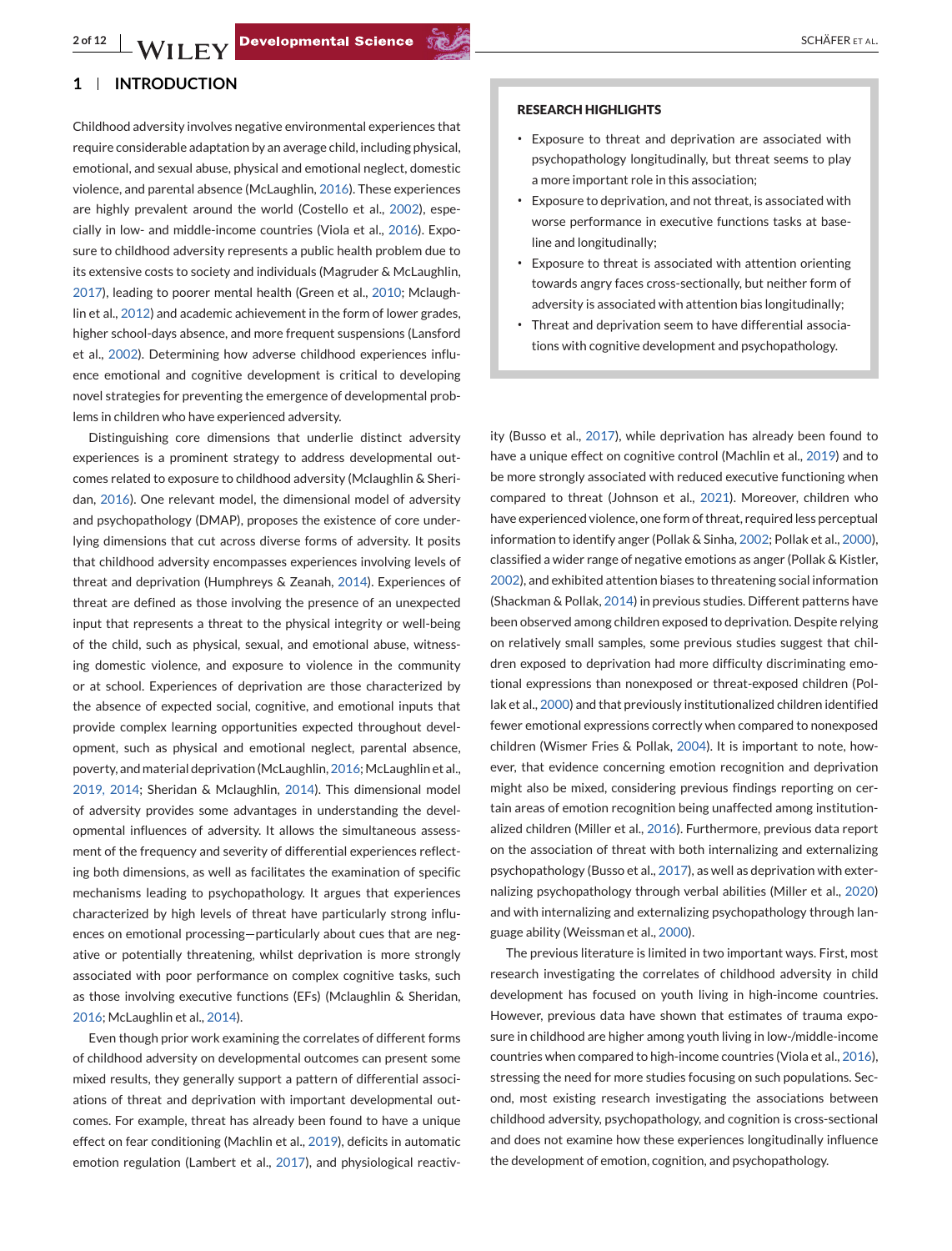# **1 INTRODUCTION**

Childhood adversity involves negative environmental experiences that require considerable adaptation by an average child, including physical, emotional, and sexual abuse, physical and emotional neglect, domestic violence, and parental absence (McLaughlin, [2016\)](#page-10-0). These experiences are highly prevalent around the world (Costello et al., [2002\)](#page-9-0), especially in low- and middle-income countries (Viola et al., [2016\)](#page-11-0). Exposure to childhood adversity represents a public health problem due to its extensive costs to society and individuals (Magruder & McLaughlin, [2017\)](#page-10-0), leading to poorer mental health (Green et al., [2010;](#page-10-0) Mclaughlin et al., [2012\)](#page-10-0) and academic achievement in the form of lower grades, higher school-days absence, and more frequent suspensions (Lansford et al., [2002\)](#page-10-0). Determining how adverse childhood experiences influence emotional and cognitive development is critical to developing novel strategies for preventing the emergence of developmental problems in children who have experienced adversity.

Distinguishing core dimensions that underlie distinct adversity experiences is a prominent strategy to address developmental outcomes related to exposure to childhood adversity (Mclaughlin & Sheridan, [2016\)](#page-10-0). One relevant model, the dimensional model of adversity and psychopathology (DMAP), proposes the existence of core underlying dimensions that cut across diverse forms of adversity. It posits that childhood adversity encompasses experiences involving levels of threat and deprivation (Humphreys & Zeanah, [2014\)](#page-10-0). Experiences of threat are defined as those involving the presence of an unexpected input that represents a threat to the physical integrity or well-being of the child, such as physical, sexual, and emotional abuse, witnessing domestic violence, and exposure to violence in the community or at school. Experiences of deprivation are those characterized by the absence of expected social, cognitive, and emotional inputs that provide complex learning opportunities expected throughout development, such as physical and emotional neglect, parental absence, poverty, and material deprivation (McLaughlin, [2016;](#page-10-0) McLaughlin et al., [2019, 2014;](#page-10-0) Sheridan & Mclaughlin, [2014\)](#page-11-0). This dimensional model of adversity provides some advantages in understanding the developmental influences of adversity. It allows the simultaneous assessment of the frequency and severity of differential experiences reflecting both dimensions, as well as facilitates the examination of specific mechanisms leading to psychopathology. It argues that experiences characterized by high levels of threat have particularly strong influences on emotional processing—particularly about cues that are negative or potentially threatening, whilst deprivation is more strongly associated with poor performance on complex cognitive tasks, such as those involving executive functions (EFs) (Mclaughlin & Sheridan, [2016;](#page-10-0) McLaughlin et al., [2014\)](#page-10-0).

Even though prior work examining the correlates of different forms of childhood adversity on developmental outcomes can present some mixed results, they generally support a pattern of differential associations of threat and deprivation with important developmental outcomes. For example, threat has already been found to have a unique effect on fear conditioning (Machlin et al., [2019\)](#page-10-0), deficits in automatic emotion regulation (Lambert et al., [2017\)](#page-10-0), and physiological reactiv-

#### **RESEARCH HIGHLIGHTS**

- ∙ Exposure to threat and deprivation are associated with psychopathology longitudinally, but threat seems to play a more important role in this association;
- ∙ Exposure to deprivation, and not threat, is associated with worse performance in executive functions tasks at baseline and longitudinally;
- ∙ Exposure to threat is associated with attention orienting towards angry faces cross-sectionally, but neither form of adversity is associated with attention bias longitudinally;
- ∙ Threat and deprivation seem to have differential associations with cognitive development and psychopathology.

ity (Busso et al., [2017\)](#page-9-0), while deprivation has already been found to have a unique effect on cognitive control (Machlin et al., [2019\)](#page-10-0) and to be more strongly associated with reduced executive functioning when compared to threat (Johnson et al., [2021\)](#page-10-0). Moreover, children who have experienced violence, one form of threat, required less perceptual information to identify anger (Pollak & Sinha, [2002;](#page-10-0) Pollak et al., [2000\)](#page-10-0), classified a wider range of negative emotions as anger (Pollak & Kistler, [2002\)](#page-10-0), and exhibited attention biases to threatening social information (Shackman & Pollak, [2014\)](#page-11-0) in previous studies. Different patterns have been observed among children exposed to deprivation. Despite relying on relatively small samples, some previous studies suggest that children exposed to deprivation had more difficulty discriminating emotional expressions than nonexposed or threat-exposed children (Pollak et al., [2000\)](#page-10-0) and that previously institutionalized children identified fewer emotional expressions correctly when compared to nonexposed children (Wismer Fries & Pollak, [2004\)](#page-11-0). It is important to note, however, that evidence concerning emotion recognition and deprivation might also be mixed, considering previous findings reporting on certain areas of emotion recognition being unaffected among institutionalized children (Miller et al., [2016\)](#page-10-0). Furthermore, previous data report on the association of threat with both internalizing and externalizing psychopathology (Busso et al., [2017\)](#page-9-0), as well as deprivation with externalizing psychopathology through verbal abilities (Miller et al., [2020\)](#page-10-0) and with internalizing and externalizing psychopathology through language ability (Weissman et al., [2000\)](#page-11-0).

The previous literature is limited in two important ways. First, most research investigating the correlates of childhood adversity in child development has focused on youth living in high-income countries. However, previous data have shown that estimates of trauma exposure in childhood are higher among youth living in low-/middle-income countries when compared to high-income countries (Viola et al., [2016\)](#page-11-0), stressing the need for more studies focusing on such populations. Second, most existing research investigating the associations between childhood adversity, psychopathology, and cognition is cross-sectional and does not examine how these experiences longitudinally influence the development of emotion, cognition, and psychopathology.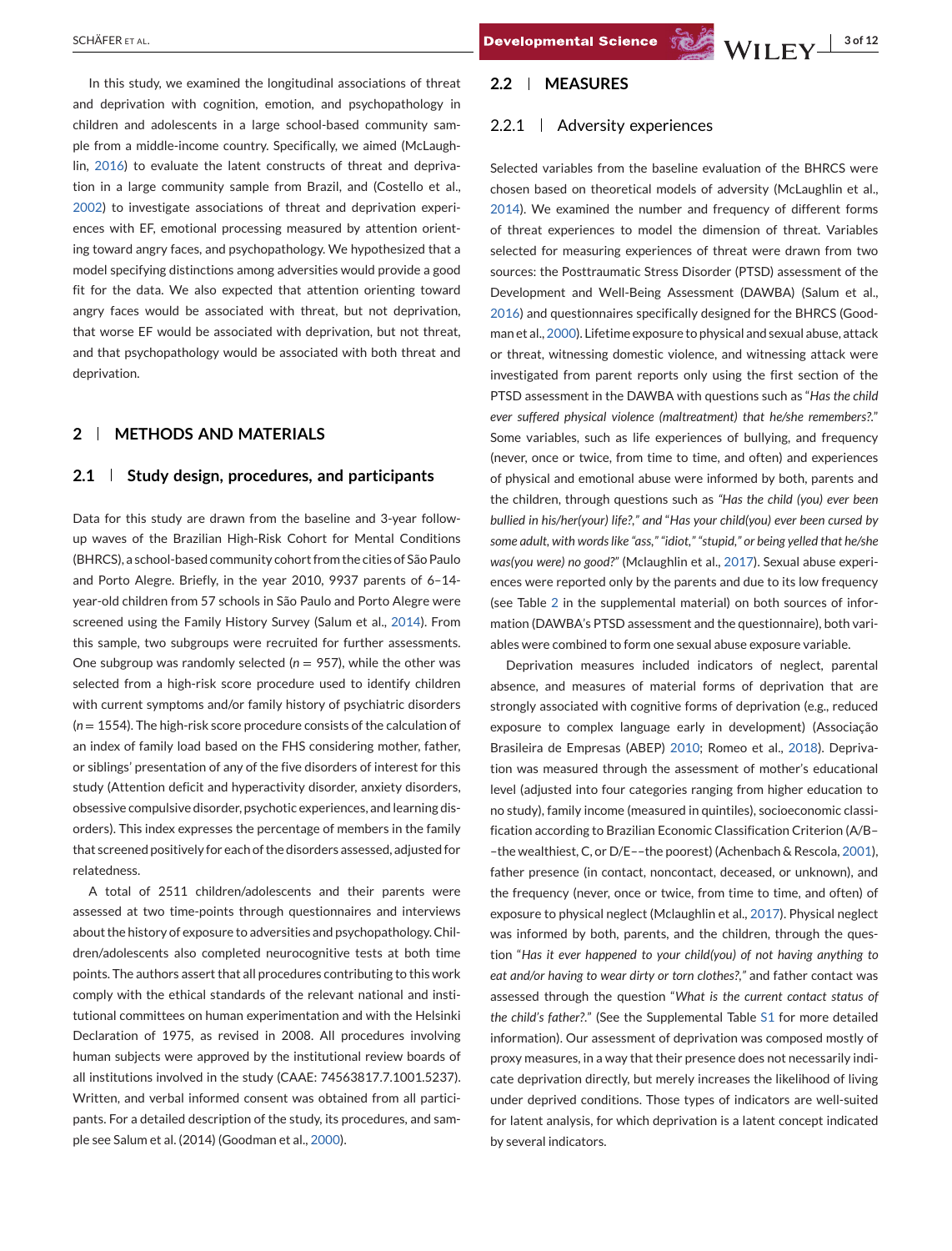deprivation.

In this study, we examined the longitudinal associations of threat and deprivation with cognition, emotion, and psychopathology in children and adolescents in a large school-based community sample from a middle-income country. Specifically, we aimed (McLaughlin, [2016\)](#page-10-0) to evaluate the latent constructs of threat and deprivation in a large community sample from Brazil, and (Costello et al., [2002\)](#page-9-0) to investigate associations of threat and deprivation experiences with EF, emotional processing measured by attention orienting toward angry faces, and psychopathology. We hypothesized that a model specifying distinctions among adversities would provide a good fit for the data. We also expected that attention orienting toward angry faces would be associated with threat, but not deprivation,

that worse EF would be associated with deprivation, but not threat, and that psychopathology would be associated with both threat and

#### **2 METHODS AND MATERIALS**

#### **2.1 Study design, procedures, and participants**

Data for this study are drawn from the baseline and 3-year followup waves of the Brazilian High-Risk Cohort for Mental Conditions (BHRCS), a school-based community cohort from the cities of São Paulo and Porto Alegre. Briefly, in the year 2010, 9937 parents of 6–14 year-old children from 57 schools in São Paulo and Porto Alegre were screened using the Family History Survey (Salum et al., [2014\)](#page-11-0). From this sample, two subgroups were recruited for further assessments. One subgroup was randomly selected ( $n = 957$ ), while the other was selected from a high-risk score procedure used to identify children with current symptoms and/or family history of psychiatric disorders (*n* = 1554). The high-risk score procedure consists of the calculation of an index of family load based on the FHS considering mother, father, or siblings' presentation of any of the five disorders of interest for this study (Attention deficit and hyperactivity disorder, anxiety disorders, obsessive compulsive disorder, psychotic experiences, and learning disorders). This index expresses the percentage of members in the family that screened positively for each of the disorders assessed, adjusted for relatedness.

A total of 2511 children/adolescents and their parents were assessed at two time-points through questionnaires and interviews about the history of exposure to adversities and psychopathology. Children/adolescents also completed neurocognitive tests at both time points. The authors assert that all procedures contributing to this work comply with the ethical standards of the relevant national and institutional committees on human experimentation and with the Helsinki Declaration of 1975, as revised in 2008. All procedures involving human subjects were approved by the institutional review boards of all institutions involved in the study (CAAE: 74563817.7.1001.5237). Written, and verbal informed consent was obtained from all participants. For a detailed description of the study, its procedures, and sample see Salum et al. (2014) (Goodman et al., [2000\)](#page-9-0).

#### **2.2 MEASURES**

#### 2.2.1 Adversity experiences

Selected variables from the baseline evaluation of the BHRCS were chosen based on theoretical models of adversity (McLaughlin et al., [2014\)](#page-10-0). We examined the number and frequency of different forms of threat experiences to model the dimension of threat. Variables selected for measuring experiences of threat were drawn from two sources: the Posttraumatic Stress Disorder (PTSD) assessment of the Development and Well-Being Assessment (DAWBA) (Salum et al., [2016\)](#page-11-0) and questionnaires specifically designed for the BHRCS (Goodman et al., [2000\)](#page-9-0). Lifetime exposure to physical and sexual abuse, attack or threat, witnessing domestic violence, and witnessing attack were investigated from parent reports only using the first section of the PTSD assessment in the DAWBA with questions such as "*Has the child ever suffered physical violence (maltreatment) that he/she remembers?*." Some variables, such as life experiences of bullying, and frequency (never, once or twice, from time to time, and often) and experiences of physical and emotional abuse were informed by both, parents and the children, through questions such as *"Has the child (you) ever been bullied in his/her(your) life?," and* "*Has your child(you) ever been cursed by some adult, with words like "ass," "idiot," "stupid," or being yelled that he/she was(you were) no good?"* (Mclaughlin et al., [2017\)](#page-10-0). Sexual abuse experiences were reported only by the parents and due to its low frequency (see Table 2 in the supplemental material) on both sources of information (DAWBA's PTSD assessment and the questionnaire), both variables were combined to form one sexual abuse exposure variable.

Deprivation measures included indicators of neglect, parental absence, and measures of material forms of deprivation that are strongly associated with cognitive forms of deprivation (e.g., reduced exposure to complex language early in development) (Associação Brasileira de Empresas (ABEP) [2010;](#page-9-0) Romeo et al., [2018\)](#page-10-0). Deprivation was measured through the assessment of mother's educational level (adjusted into four categories ranging from higher education to no study), family income (measured in quintiles), socioeconomic classification according to Brazilian Economic Classification Criterion (A/B– –the wealthiest, C, or D/E––the poorest) (Achenbach & Rescola, [2001\)](#page-9-0), father presence (in contact, noncontact, deceased, or unknown), and the frequency (never, once or twice, from time to time, and often) of exposure to physical neglect (Mclaughlin et al., [2017\)](#page-10-0). Physical neglect was informed by both, parents, and the children, through the question "*Has it ever happened to your child(you) of not having anything to eat and/or having to wear dirty or torn clothes?,"* and father contact was assessed through the question "*What is the current contact status of the child's father?*." (See the Supplemental Table S1 for more detailed information). Our assessment of deprivation was composed mostly of proxy measures, in a way that their presence does not necessarily indicate deprivation directly, but merely increases the likelihood of living under deprived conditions. Those types of indicators are well-suited for latent analysis, for which deprivation is a latent concept indicated by several indicators.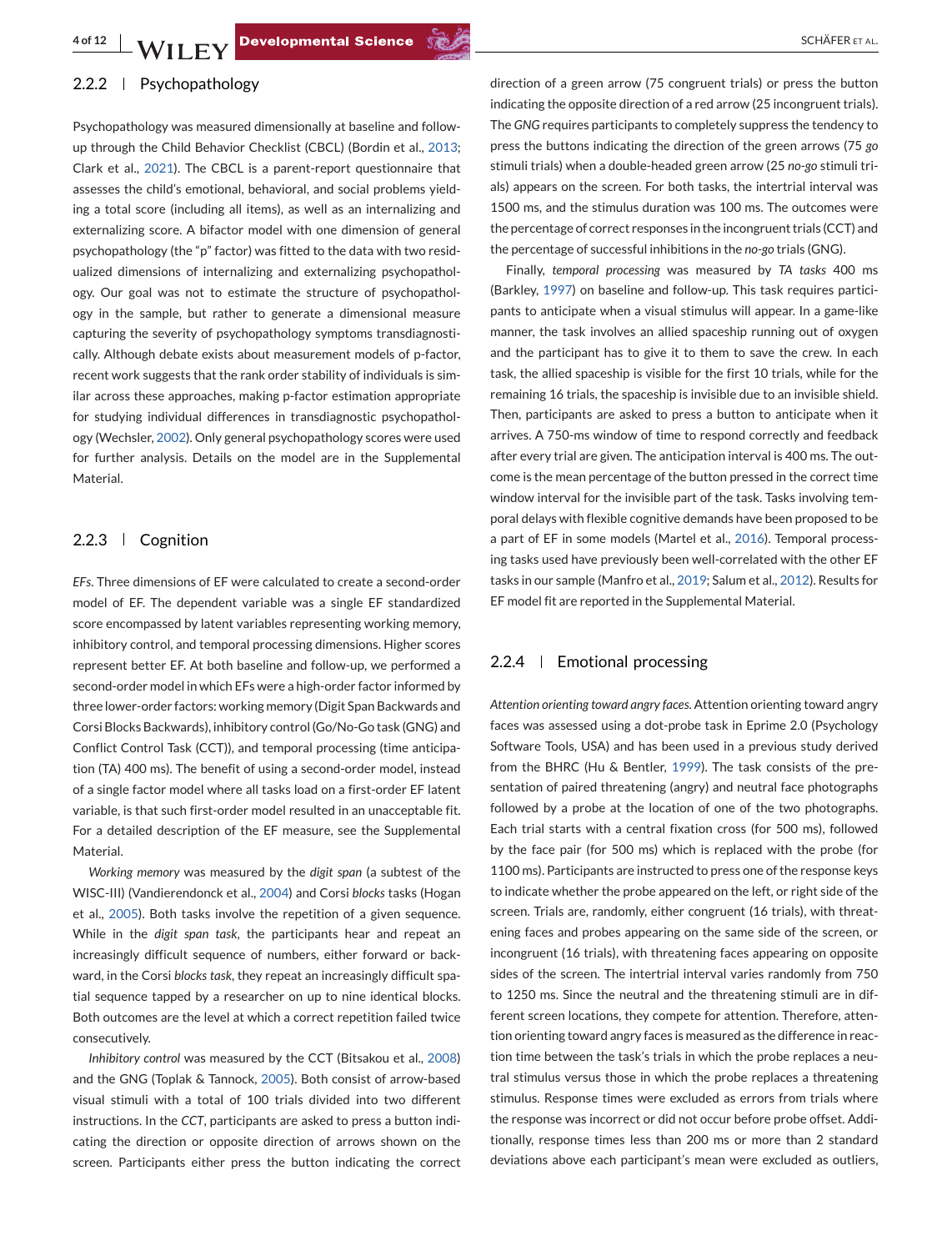### 2.2.2 | Psychopathology

Psychopathology was measured dimensionally at baseline and followup through the Child Behavior Checklist (CBCL) (Bordin et al., [2013;](#page-9-0) Clark et al., [2021\)](#page-9-0). The CBCL is a parent-report questionnaire that assesses the child's emotional, behavioral, and social problems yielding a total score (including all items), as well as an internalizing and externalizing score. A bifactor model with one dimension of general psychopathology (the "p" factor) was fitted to the data with two residualized dimensions of internalizing and externalizing psychopathology. Our goal was not to estimate the structure of psychopathology in the sample, but rather to generate a dimensional measure capturing the severity of psychopathology symptoms transdiagnostically. Although debate exists about measurement models of p-factor, recent work suggests that the rank order stability of individuals is similar across these approaches, making p-factor estimation appropriate for studying individual differences in transdiagnostic psychopathology (Wechsler, [2002\)](#page-11-0). Only general psychopathology scores were used for further analysis. Details on the model are in the Supplemental Material.

#### 2.2.3 Cognition

*EFs*. Three dimensions of EF were calculated to create a second-order model of EF. The dependent variable was a single EF standardized score encompassed by latent variables representing working memory, inhibitory control, and temporal processing dimensions. Higher scores represent better EF. At both baseline and follow-up, we performed a second-order model in which EFs were a high-order factor informed by three lower-order factors: working memory (Digit Span Backwards and Corsi Blocks Backwards), inhibitory control (Go/No-Go task (GNG) and Conflict Control Task (CCT)), and temporal processing (time anticipation (TA) 400 ms). The benefit of using a second-order model, instead of a single factor model where all tasks load on a first-order EF latent variable, is that such first-order model resulted in an unacceptable fit. For a detailed description of the EF measure, see the Supplemental Material.

*Working memory* was measured by the *digit span* (a subtest of the WISC-III) (Vandierendonck et al., [2004\)](#page-11-0) and Corsi *blocks* tasks (Hogan et al., [2005\)](#page-10-0). Both tasks involve the repetition of a given sequence. While in the *digit span task*, the participants hear and repeat an increasingly difficult sequence of numbers, either forward or backward, in the Corsi *blocks task*, they repeat an increasingly difficult spatial sequence tapped by a researcher on up to nine identical blocks. Both outcomes are the level at which a correct repetition failed twice consecutively.

*Inhibitory control* was measured by the CCT (Bitsakou et al., [2008\)](#page-9-0) and the GNG (Toplak & Tannock, [2005\)](#page-11-0). Both consist of arrow-based visual stimuli with a total of 100 trials divided into two different instructions. In the *CCT*, participants are asked to press a button indicating the direction or opposite direction of arrows shown on the screen. Participants either press the button indicating the correct

direction of a green arrow (75 congruent trials) or press the button indicating the opposite direction of a red arrow (25 incongruent trials). The *GNG* requires participants to completely suppress the tendency to press the buttons indicating the direction of the green arrows (75 *go* stimuli trials) when a double-headed green arrow (25 *no-go* stimuli trials) appears on the screen. For both tasks, the intertrial interval was 1500 ms, and the stimulus duration was 100 ms. The outcomes were the percentage of correct responses in the incongruent trials (CCT) and the percentage of successful inhibitions in the *no-go* trials (GNG).

Finally, *temporal processing* was measured by *TA tasks* 400 ms (Barkley, [1997\)](#page-9-0) on baseline and follow-up. This task requires participants to anticipate when a visual stimulus will appear. In a game-like manner, the task involves an allied spaceship running out of oxygen and the participant has to give it to them to save the crew. In each task, the allied spaceship is visible for the first 10 trials, while for the remaining 16 trials, the spaceship is invisible due to an invisible shield. Then, participants are asked to press a button to anticipate when it arrives. A 750-ms window of time to respond correctly and feedback after every trial are given. The anticipation interval is 400 ms. The outcome is the mean percentage of the button pressed in the correct time window interval for the invisible part of the task. Tasks involving temporal delays with flexible cognitive demands have been proposed to be a part of EF in some models (Martel et al., [2016\)](#page-10-0). Temporal processing tasks used have previously been well-correlated with the other EF tasks in our sample (Manfro et al., [2019;](#page-10-0) Salum et al., [2012\)](#page-11-0). Results for EF model fit are reported in the Supplemental Material.

#### 2.2.4 Emotional processing

*Attention orienting toward angry faces*. Attention orienting toward angry faces was assessed using a dot-probe task in Eprime 2.0 (Psychology Software Tools, USA) and has been used in a previous study derived from the BHRC (Hu & Bentler, [1999\)](#page-10-0). The task consists of the presentation of paired threatening (angry) and neutral face photographs followed by a probe at the location of one of the two photographs. Each trial starts with a central fixation cross (for 500 ms), followed by the face pair (for 500 ms) which is replaced with the probe (for 1100 ms). Participants are instructed to press one of the response keys to indicate whether the probe appeared on the left, or right side of the screen. Trials are, randomly, either congruent (16 trials), with threatening faces and probes appearing on the same side of the screen, or incongruent (16 trials), with threatening faces appearing on opposite sides of the screen. The intertrial interval varies randomly from 750 to 1250 ms. Since the neutral and the threatening stimuli are in different screen locations, they compete for attention. Therefore, attention orienting toward angry faces is measured as the difference in reaction time between the task's trials in which the probe replaces a neutral stimulus versus those in which the probe replaces a threatening stimulus. Response times were excluded as errors from trials where the response was incorrect or did not occur before probe offset. Additionally, response times less than 200 ms or more than 2 standard deviations above each participant's mean were excluded as outliers,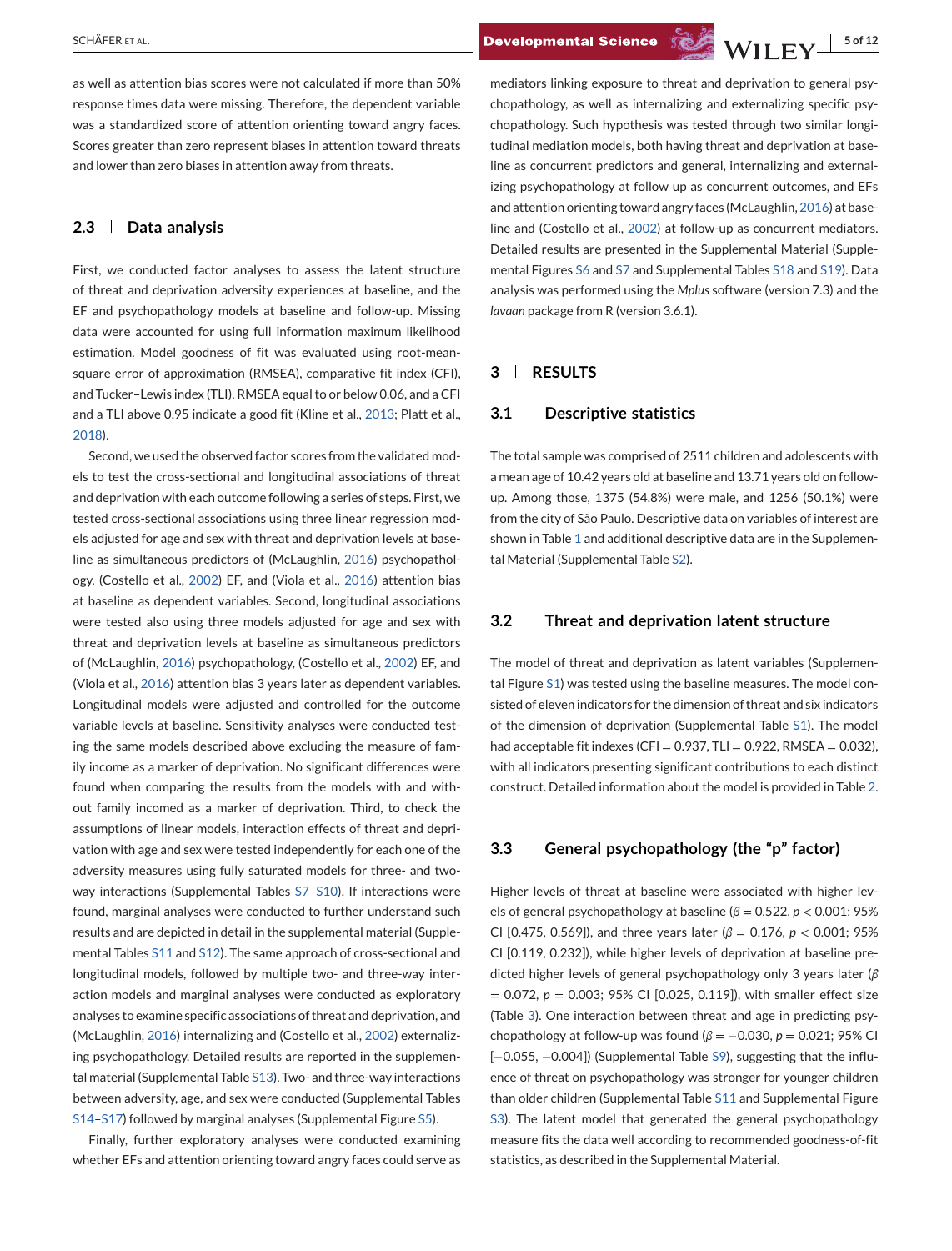as well as attention bias scores were not calculated if more than 50% response times data were missing. Therefore, the dependent variable was a standardized score of attention orienting toward angry faces. Scores greater than zero represent biases in attention toward threats and lower than zero biases in attention away from threats.

#### **2.3 Data analysis**

First, we conducted factor analyses to assess the latent structure of threat and deprivation adversity experiences at baseline, and the EF and psychopathology models at baseline and follow-up. Missing data were accounted for using full information maximum likelihood estimation. Model goodness of fit was evaluated using root-meansquare error of approximation (RMSEA), comparative fit index (CFI), and Tucker–Lewis index (TLI). RMSEA equal to or below 0.06, and a CFI and a TLI above 0.95 indicate a good fit (Kline et al., [2013;](#page-10-0) Platt et al., [2018\)](#page-10-0).

Second, we used the observed factor scores from the validated models to test the cross-sectional and longitudinal associations of threat and deprivation with each outcome following a series of steps. First, we tested cross-sectional associations using three linear regression models adjusted for age and sex with threat and deprivation levels at baseline as simultaneous predictors of (McLaughlin, [2016\)](#page-10-0) psychopathology, (Costello et al., [2002\)](#page-9-0) EF, and (Viola et al., [2016\)](#page-11-0) attention bias at baseline as dependent variables. Second, longitudinal associations were tested also using three models adjusted for age and sex with threat and deprivation levels at baseline as simultaneous predictors of (McLaughlin, [2016\)](#page-10-0) psychopathology, (Costello et al., [2002\)](#page-9-0) EF, and (Viola et al., [2016\)](#page-11-0) attention bias 3 years later as dependent variables. Longitudinal models were adjusted and controlled for the outcome variable levels at baseline. Sensitivity analyses were conducted testing the same models described above excluding the measure of family income as a marker of deprivation. No significant differences were found when comparing the results from the models with and without family incomed as a marker of deprivation. Third, to check the assumptions of linear models, interaction effects of threat and deprivation with age and sex were tested independently for each one of the adversity measures using fully saturated models for three- and twoway interactions (Supplemental Tables S7-S10). If interactions were found, marginal analyses were conducted to further understand such results and are depicted in detail in the supplemental material (Supplemental Tables S11 and S12). The same approach of cross-sectional and longitudinal models, followed by multiple two- and three-way interaction models and marginal analyses were conducted as exploratory analyses to examine specific associations of threat and deprivation, and (McLaughlin, [2016\)](#page-10-0) internalizing and (Costello et al., [2002\)](#page-9-0) externalizing psychopathology. Detailed results are reported in the supplemental material (Supplemental Table S13). Two- and three-way interactions between adversity, age, and sex were conducted (Supplemental Tables S14–S17) followed by marginal analyses (Supplemental Figure S5).

Finally, further exploratory analyses were conducted examining whether EFs and attention orienting toward angry faces could serve as

mediators linking exposure to threat and deprivation to general psychopathology, as well as internalizing and externalizing specific psychopathology. Such hypothesis was tested through two similar longitudinal mediation models, both having threat and deprivation at baseline as concurrent predictors and general, internalizing and externalizing psychopathology at follow up as concurrent outcomes, and EFs and attention orienting toward angry faces (McLaughlin, [2016\)](#page-10-0) at baseline and (Costello et al., [2002\)](#page-9-0) at follow-up as concurrent mediators. Detailed results are presented in the Supplemental Material (Supplemental Figures S6 and S7 and Supplemental Tables S18 and S19). Data analysis was performed using the *Mplus* software (version 7.3) and the *lavaan* package from R (version 3.6.1).

#### **3 RESULTS**

#### **3.1 Descriptive statistics**

The total sample was comprised of 2511 children and adolescents with a mean age of 10.42 years old at baseline and 13.71 years old on followup. Among those, 1375 (54.8%) were male, and 1256 (50.1%) were from the city of São Paulo. Descriptive data on variables of interest are shown in Table [1](#page-5-0) and additional descriptive data are in the Supplemental Material (Supplemental Table S2).

#### **3.2 Threat and deprivation latent structure**

The model of threat and deprivation as latent variables (Supplemental Figure S1) was tested using the baseline measures. The model consisted of eleven indicators for the dimension of threat and six indicators of the dimension of deprivation (Supplemental Table S1). The model had acceptable fit indexes (CFI =  $0.937$ , TLI =  $0.922$ , RMSEA =  $0.032$ ), with all indicators presenting significant contributions to each distinct construct. Detailed information about the model is provided in Table [2.](#page-6-0)

#### **3.3 General psychopathology (the "p" factor)**

Higher levels of threat at baseline were associated with higher levels of general psychopathology at baseline (*β* = 0.522, *p* < 0.001; 95% CI [0.475, 0.569]), and three years later (*β* = 0.176, *p* < 0.001; 95% CI [0.119, 0.232]), while higher levels of deprivation at baseline predicted higher levels of general psychopathology only 3 years later (*β* = 0.072, *p* = 0.003; 95% CI [0.025, 0.119]), with smaller effect size (Table [3\)](#page-6-0). One interaction between threat and age in predicting psychopathology at follow-up was found (*β* = −0.030, *p* = 0.021; 95% CI [-0.055, -0.004]) (Supplemental Table S9), suggesting that the influence of threat on psychopathology was stronger for younger children than older children (Supplemental Table S11 and Supplemental Figure S3). The latent model that generated the general psychopathology measure fits the data well according to recommended goodness-of-fit statistics, as described in the Supplemental Material.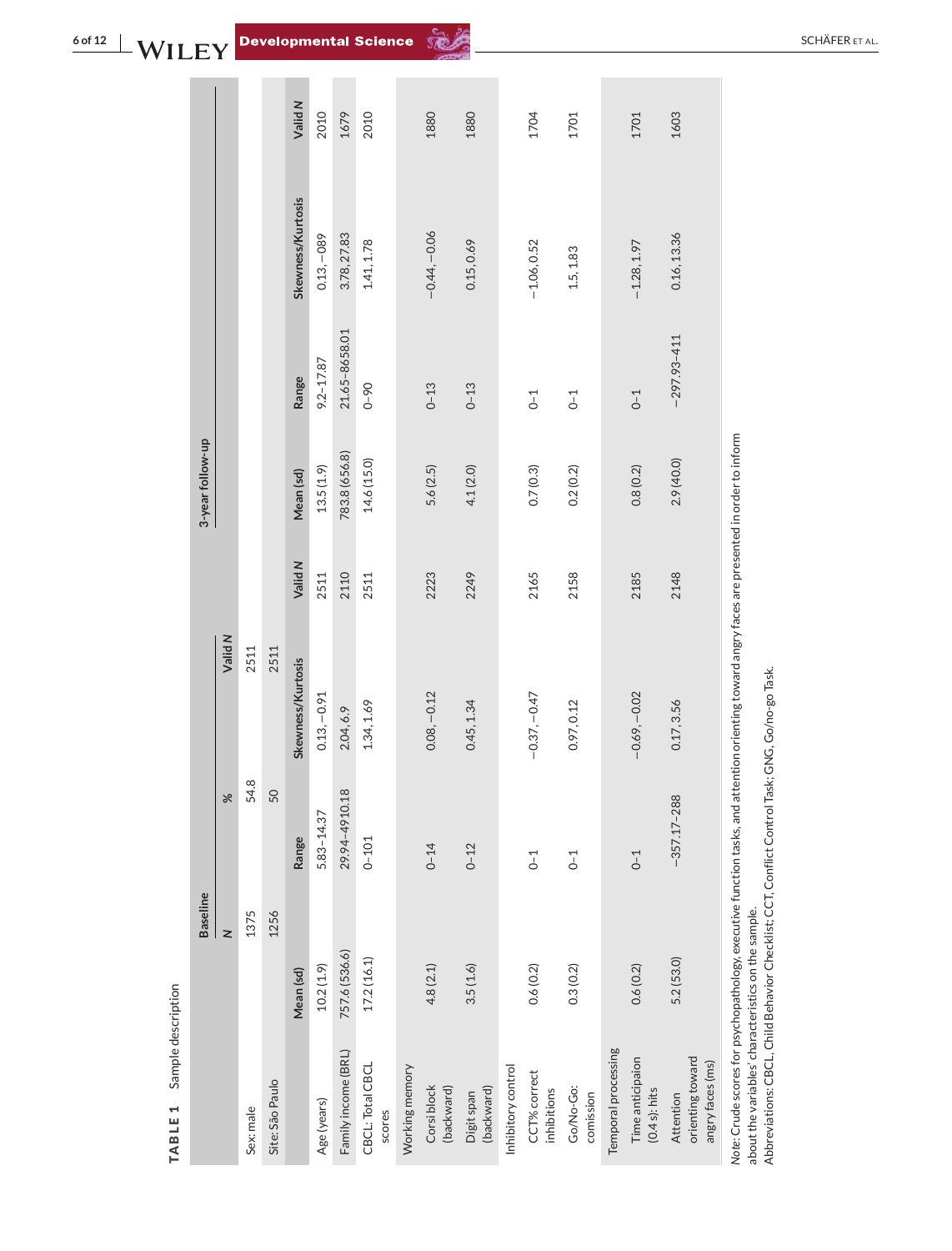|                  |         |           |                 | Valid N           | 2010           | 1679                | 2010                       |                | 1880                      | 1880                     |                    | 1704                        | 1701                   |                     | 1701                                 | 1603                                              |                                                                                                                                               |
|------------------|---------|-----------|-----------------|-------------------|----------------|---------------------|----------------------------|----------------|---------------------------|--------------------------|--------------------|-----------------------------|------------------------|---------------------|--------------------------------------|---------------------------------------------------|-----------------------------------------------------------------------------------------------------------------------------------------------|
|                  |         |           |                 | Skewness/Kurtosis | $0.13, -089$   | 3.78, 27.83         | 1.41, 1.78                 |                | $-0.44,-0.06$             | 0.15, 0.69               |                    | $-1.06, 0.52$               | 1.5, 1.83              |                     | $-1.28, 1.97$                        | 0.16, 13.36                                       |                                                                                                                                               |
|                  |         |           |                 | Range             | $9.2 - 17.87$  | 21.65-8658.01       | $0 - 90$                   |                | $0 - 13$                  | $0 - 13$                 |                    | $0-1$                       | $0 - 1$                |                     | $0-1$                                | $-297.93 - 411$                                   |                                                                                                                                               |
| 3-year follow-up |         |           |                 | Mean (sd)         | 13.5(1.9)      | 783.8 (656.8)       | 14.6 (15.0)                |                | 5.6(2.5)                  | 4.1(2.0)                 |                    | 0.7(0.3)                    | 0.2(0.2)               |                     | 0.8(0.2)                             | 2.9(40.0)                                         |                                                                                                                                               |
|                  |         |           |                 | Valid N           | 2511           | 2110                | 2511                       |                | 2223                      | 2249                     |                    | 2165                        | 2158                   |                     | 2185                                 | 2148                                              |                                                                                                                                               |
|                  | Valid N | 2511      | 2511            | Skewness/Kurtosis | $0.13, -0.91$  | 2.04, 6.9           | 1.34, 1.69                 |                | $0.08, -0.12$             | 0.45, 1.34               |                    | $-0.37, -0.47$              | 0.97, 0.12             |                     | $-0.69, -0.02$                       | 0.17, 3.56                                        |                                                                                                                                               |
|                  | ℅       | 54.8      | 50              | Range             | $5.83 - 14.37$ | 29.94-4910.18       | $0 - 101$                  |                | $0 - 14$                  | $0 - 12$                 |                    | $0-1$                       | $0-1$                  |                     | $0-1$                                | $-357.17 - 288$                                   |                                                                                                                                               |
| <b>Baseline</b>  | z       | 1375      | 1256            | Mean (sd)         | 10.2(1.9)      | 757.6 (536.6)       | 17.2(16.1)                 |                | 4.8(2.1)                  | 3.5(1.6)                 |                    | 0.6(0.2)                    | 0.3(0.2)               |                     | 0.6(0.2)                             | 5.2(53.0)                                         | Note: Crude scores for psychopathology, executive function tasks, and attention orienting toward angry faces are presented in order to inform |
|                  |         | Sex: male | Site: São Paulo |                   | Age (years)    | Family income (BRL) | CBCL: Total CBCL<br>scores | Working memory | Corsi block<br>(backward) | (backward)<br>Digit span | Inhibitory control | CCT% correct<br>inhibitions | Go/No-Go:<br>comission | Temporal processing | Time anticipaion<br>$(0.4 s)$ : hits | orienting toward<br>angry faces (ms)<br>Attention |                                                                                                                                               |

angry races (ms)<br>Note: Crude scores for psychopathology, executive function tasks, and attention orienting toward a<br>about the variables' characteristics on the sample.<br>Abbreviations: CBCL, Child Behavior Checklist; CCT, Co about the variables' characteristics on the sample.

Abbreviations: CBCL, Child Behavior Checklist; CCT, Conflict Control Task; GNG, Go/no-go Task.

<span id="page-5-0"></span>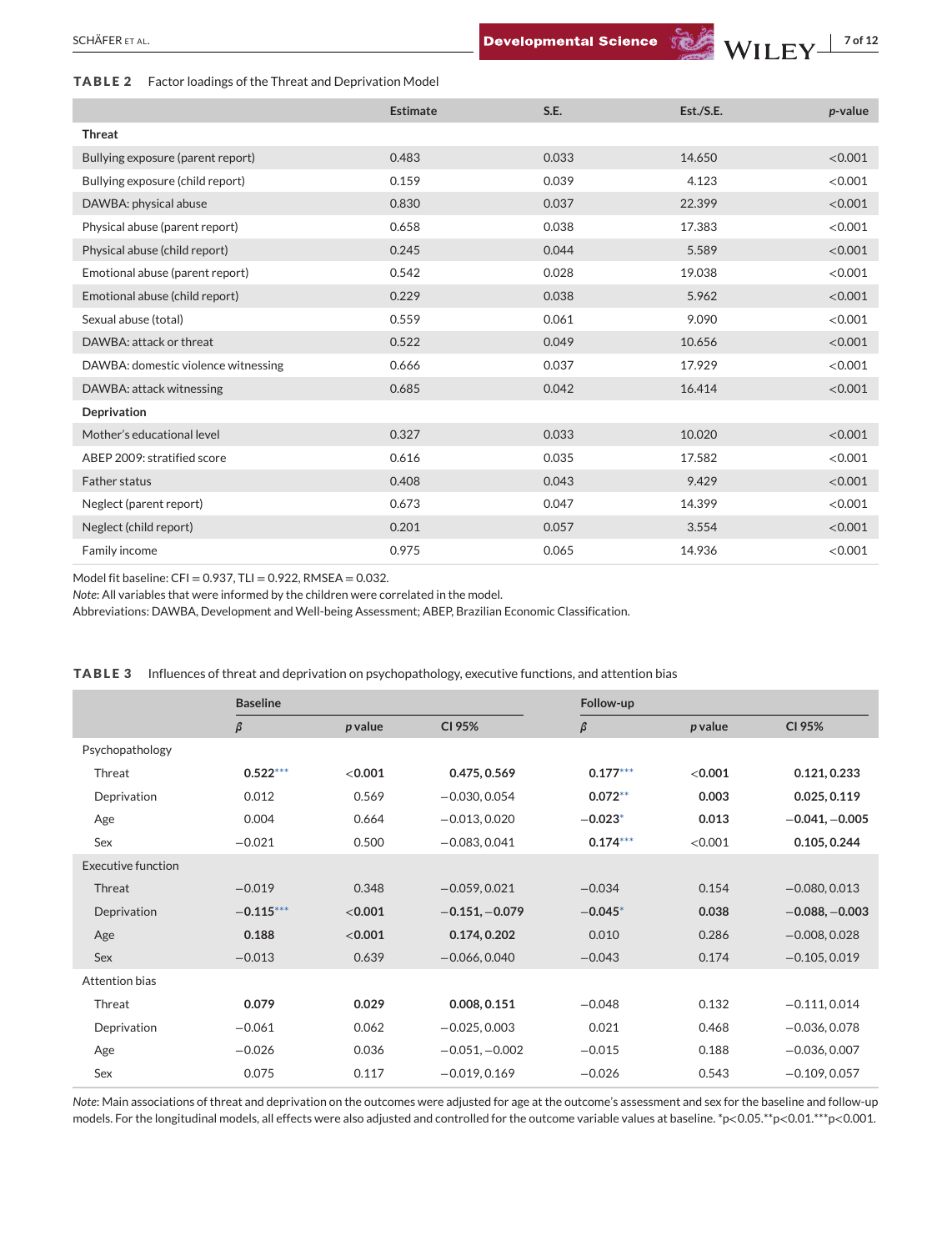#### <span id="page-6-0"></span>**TABLE 2** Factor loadings of the Threat and Deprivation Model

|                                     | <b>Estimate</b> | S.E.  | Est./S.E. | p-value |
|-------------------------------------|-----------------|-------|-----------|---------|
| <b>Threat</b>                       |                 |       |           |         |
| Bullying exposure (parent report)   | 0.483           | 0.033 | 14.650    | < 0.001 |
| Bullying exposure (child report)    | 0.159           | 0.039 | 4.123     | < 0.001 |
| DAWBA: physical abuse               | 0.830           | 0.037 | 22.399    | < 0.001 |
| Physical abuse (parent report)      | 0.658           | 0.038 | 17.383    | < 0.001 |
| Physical abuse (child report)       | 0.245           | 0.044 | 5.589     | < 0.001 |
| Emotional abuse (parent report)     | 0.542           | 0.028 | 19.038    | < 0.001 |
| Emotional abuse (child report)      | 0.229           | 0.038 | 5.962     | < 0.001 |
| Sexual abuse (total)                | 0.559           | 0.061 | 9.090     | < 0.001 |
| DAWBA: attack or threat             | 0.522           | 0.049 | 10.656    | < 0.001 |
| DAWBA: domestic violence witnessing | 0.666           | 0.037 | 17.929    | < 0.001 |
| DAWBA: attack witnessing            | 0.685           | 0.042 | 16.414    | < 0.001 |
| Deprivation                         |                 |       |           |         |
| Mother's educational level          | 0.327           | 0.033 | 10.020    | < 0.001 |
| ABEP 2009: stratified score         | 0.616           | 0.035 | 17.582    | < 0.001 |
| <b>Father status</b>                | 0.408           | 0.043 | 9.429     | < 0.001 |
| Neglect (parent report)             | 0.673           | 0.047 | 14.399    | < 0.001 |
| Neglect (child report)              | 0.201           | 0.057 | 3.554     | < 0.001 |
| Family income                       | 0.975           | 0.065 | 14.936    | < 0.001 |

Model fit baseline:  $CFI = 0.937$ ,  $TLI = 0.922$ , RMSEA = 0.032.

*Note*: All variables that were informed by the children were correlated in the model.

Abbreviations: DAWBA, Development and Well-being Assessment; ABEP, Brazilian Economic Classification.

|                           | <b>Baseline</b> |         |                  | Follow-up  |         |                  |
|---------------------------|-----------------|---------|------------------|------------|---------|------------------|
|                           | $\beta$         | p value | CI 95%           | $\beta$    | p value | CI 95%           |
| Psychopathology           |                 |         |                  |            |         |                  |
| Threat                    | $0.522***$      | < 0.001 | 0.475, 0.569     | $0.177***$ | < 0.001 | 0.121, 0.233     |
| Deprivation               | 0.012           | 0.569   | $-0.030, 0.054$  | $0.072**$  | 0.003   | 0.025, 0.119     |
| Age                       | 0.004           | 0.664   | $-0.013, 0.020$  | $-0.023*$  | 0.013   | $-0.041, -0.005$ |
| Sex                       | $-0.021$        | 0.500   | $-0.083, 0.041$  | $0.174***$ | < 0.001 | 0.105, 0.244     |
| <b>Executive function</b> |                 |         |                  |            |         |                  |
| Threat                    | $-0.019$        | 0.348   | $-0.059, 0.021$  | $-0.034$   | 0.154   | $-0.080, 0.013$  |
| Deprivation               | $-0.115***$     | < 0.001 | $-0.151, -0.079$ | $-0.045*$  | 0.038   | $-0.088, -0.003$ |
| Age                       | 0.188           | < 0.001 | 0.174, 0.202     | 0.010      | 0.286   | $-0.008, 0.028$  |
| Sex                       | $-0.013$        | 0.639   | $-0.066, 0.040$  | $-0.043$   | 0.174   | $-0.105, 0.019$  |
| Attention bias            |                 |         |                  |            |         |                  |
| Threat                    | 0.079           | 0.029   | 0.008, 0.151     | $-0.048$   | 0.132   | $-0.111, 0.014$  |
| Deprivation               | $-0.061$        | 0.062   | $-0.025, 0.003$  | 0.021      | 0.468   | $-0.036, 0.078$  |
| Age                       | $-0.026$        | 0.036   | $-0.051, -0.002$ | $-0.015$   | 0.188   | $-0.036, 0.007$  |
| Sex                       | 0.075           | 0.117   | $-0.019, 0.169$  | $-0.026$   | 0.543   | $-0.109, 0.057$  |

**TABLE 3** Influences of threat and deprivation on psychopathology, executive functions, and attention bias

*Note*: Main associations of threat and deprivation on the outcomes were adjusted for age at the outcome's assessment and sex for the baseline and follow-up models. For the longitudinal models, all effects were also adjusted and controlled for the outcome variable values at baseline. \*p<0.05.\*\*p<0.01.\*\*\*p<0.001.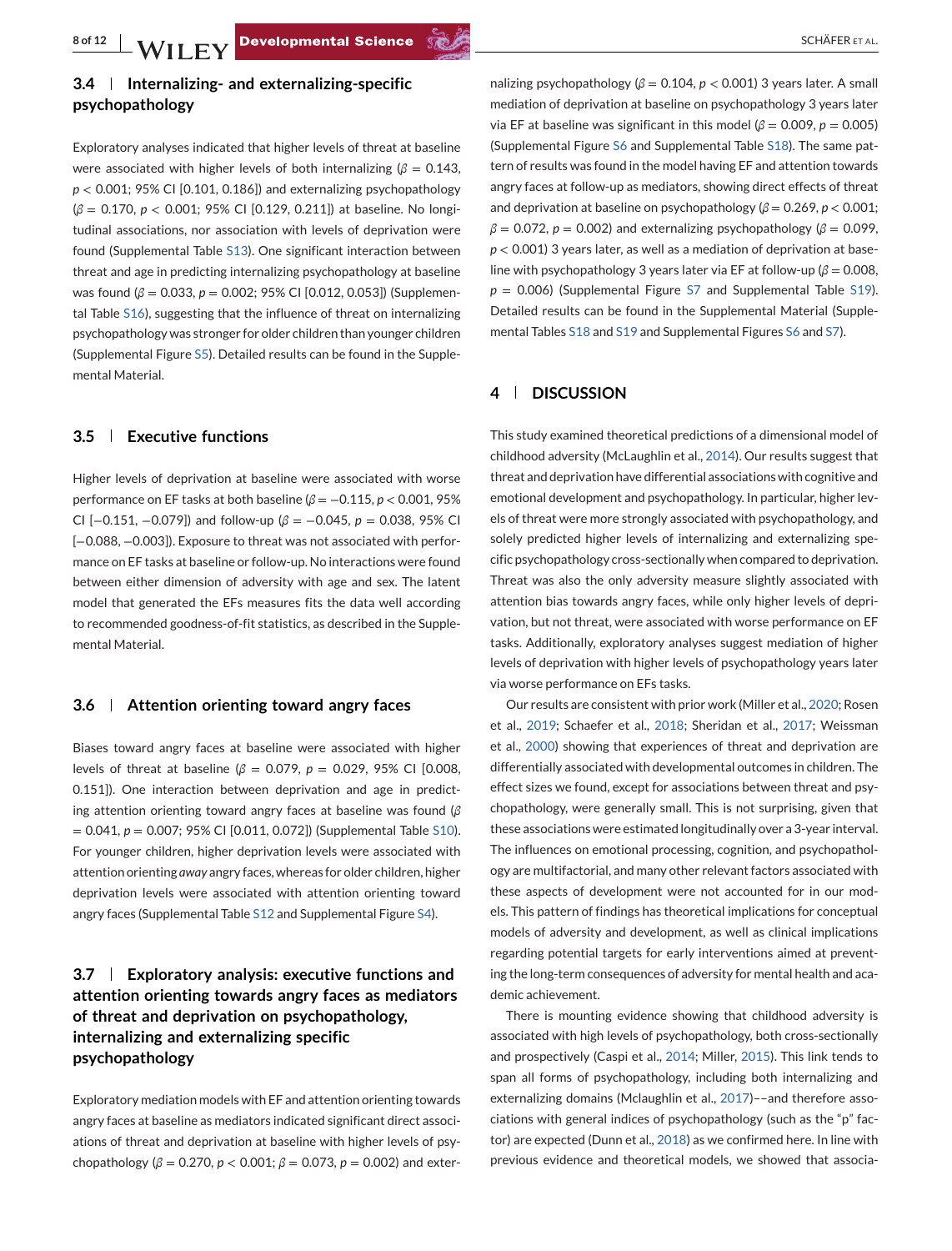# **3.4 Internalizing- and externalizing-specific psychopathology**

Exploratory analyses indicated that higher levels of threat at baseline were associated with higher levels of both internalizing ( $\beta = 0.143$ , *p* < 0.001; 95% CI [0.101, 0.186]) and externalizing psychopathology (*β* = 0.170, *p* < 0.001; 95% CI [0.129, 0.211]) at baseline. No longitudinal associations, nor association with levels of deprivation were found (Supplemental Table S13). One significant interaction between threat and age in predicting internalizing psychopathology at baseline was found ( $β = 0.033$ ,  $p = 0.002$ ; 95% CI [0.012, 0.053]) (Supplemental Table S16), suggesting that the influence of threat on internalizing psychopathology was stronger for older children than younger children (Supplemental Figure S5). Detailed results can be found in the Supplemental Material.

## **3.5 Executive functions**

Higher levels of deprivation at baseline were associated with worse performance on EF tasks at both baseline (*β* = −0.115, *p* < 0.001, 95% CI [−0.151, −0.079]) and follow-up (*β* = −0.045, *p* = 0.038, 95% CI [-0.088, -0.003]). Exposure to threat was not associated with performance on EF tasks at baseline or follow-up. No interactions were found between either dimension of adversity with age and sex. The latent model that generated the EFs measures fits the data well according to recommended goodness-of-fit statistics, as described in the Supplemental Material.

# **3.6 Attention orienting toward angry faces**

Biases toward angry faces at baseline were associated with higher levels of threat at baseline (*β* = 0.079, *p* = 0.029, 95% CI [0.008, 0.151]). One interaction between deprivation and age in predicting attention orienting toward angry faces at baseline was found (*β* = 0.041, *p* = 0.007; 95% CI [0.011, 0.072]) (Supplemental Table S10). For younger children, higher deprivation levels were associated with attention orienting *away* angry faces, whereas for older children, higher deprivation levels were associated with attention orienting toward angry faces (Supplemental Table S12 and Supplemental Figure S4).

# **3.7 Exploratory analysis: executive functions and attention orienting towards angry faces as mediators of threat and deprivation on psychopathology, internalizing and externalizing specific psychopathology**

Exploratory mediation models with EF and attention orienting towards angry faces at baseline as mediators indicated significant direct associations of threat and deprivation at baseline with higher levels of psychopathology ( $\beta$  = 0.270,  $p$  < 0.001;  $\beta$  = 0.073,  $p$  = 0.002) and exter-

nalizing psychopathology (*β* = 0.104, *p* < 0.001) 3 years later. A small mediation of deprivation at baseline on psychopathology 3 years later via EF at baseline was significant in this model (*β* = 0.009, *p* = 0.005) (Supplemental Figure S6 and Supplemental Table S18). The same pattern of results was found in the model having EF and attention towards angry faces at follow-up as mediators, showing direct effects of threat and deprivation at baseline on psychopathology (*β* = 0.269, *p* < 0.001;  $\beta = 0.072$ ,  $p = 0.002$ ) and externalizing psychopathology ( $\beta = 0.099$ , *p* < 0.001) 3 years later, as well as a mediation of deprivation at baseline with psychopathology 3 years later via EF at follow-up ( $β = 0.008$ ,  $p = 0.006$ ) (Supplemental Figure S7 and Supplemental Table S19). Detailed results can be found in the Supplemental Material (Supplemental Tables S18 and S19 and Supplemental Figures S6 and S7).

# **4 DISCUSSION**

This study examined theoretical predictions of a dimensional model of childhood adversity (McLaughlin et al., [2014\)](#page-10-0). Our results suggest that threat and deprivation have differential associations with cognitive and emotional development and psychopathology. In particular, higher levels of threat were more strongly associated with psychopathology, and solely predicted higher levels of internalizing and externalizing specific psychopathology cross-sectionally when compared to deprivation. Threat was also the only adversity measure slightly associated with attention bias towards angry faces, while only higher levels of deprivation, but not threat, were associated with worse performance on EF tasks. Additionally, exploratory analyses suggest mediation of higher levels of deprivation with higher levels of psychopathology years later via worse performance on EFs tasks.

Our results are consistent with prior work (Miller et al., [2020;](#page-10-0) Rosen et al., [2019;](#page-11-0) Schaefer et al., [2018;](#page-11-0) Sheridan et al., [2017;](#page-11-0) Weissman et al., [2000\)](#page-11-0) showing that experiences of threat and deprivation are differentially associated with developmental outcomes in children. The effect sizes we found, except for associations between threat and psychopathology, were generally small. This is not surprising, given that these associations were estimated longitudinally over a 3-year interval. The influences on emotional processing, cognition, and psychopathology are multifactorial, and many other relevant factors associated with these aspects of development were not accounted for in our models. This pattern of findings has theoretical implications for conceptual models of adversity and development, as well as clinical implications regarding potential targets for early interventions aimed at preventing the long-term consequences of adversity for mental health and academic achievement.

There is mounting evidence showing that childhood adversity is associated with high levels of psychopathology, both cross-sectionally and prospectively (Caspi et al., [2014;](#page-9-0) Miller, [2015\)](#page-10-0). This link tends to span all forms of psychopathology, including both internalizing and externalizing domains (Mclaughlin et al., [2017\)](#page-10-0)––and therefore associations with general indices of psychopathology (such as the "p" factor) are expected (Dunn et al., [2018\)](#page-9-0) as we confirmed here. In line with previous evidence and theoretical models, we showed that associa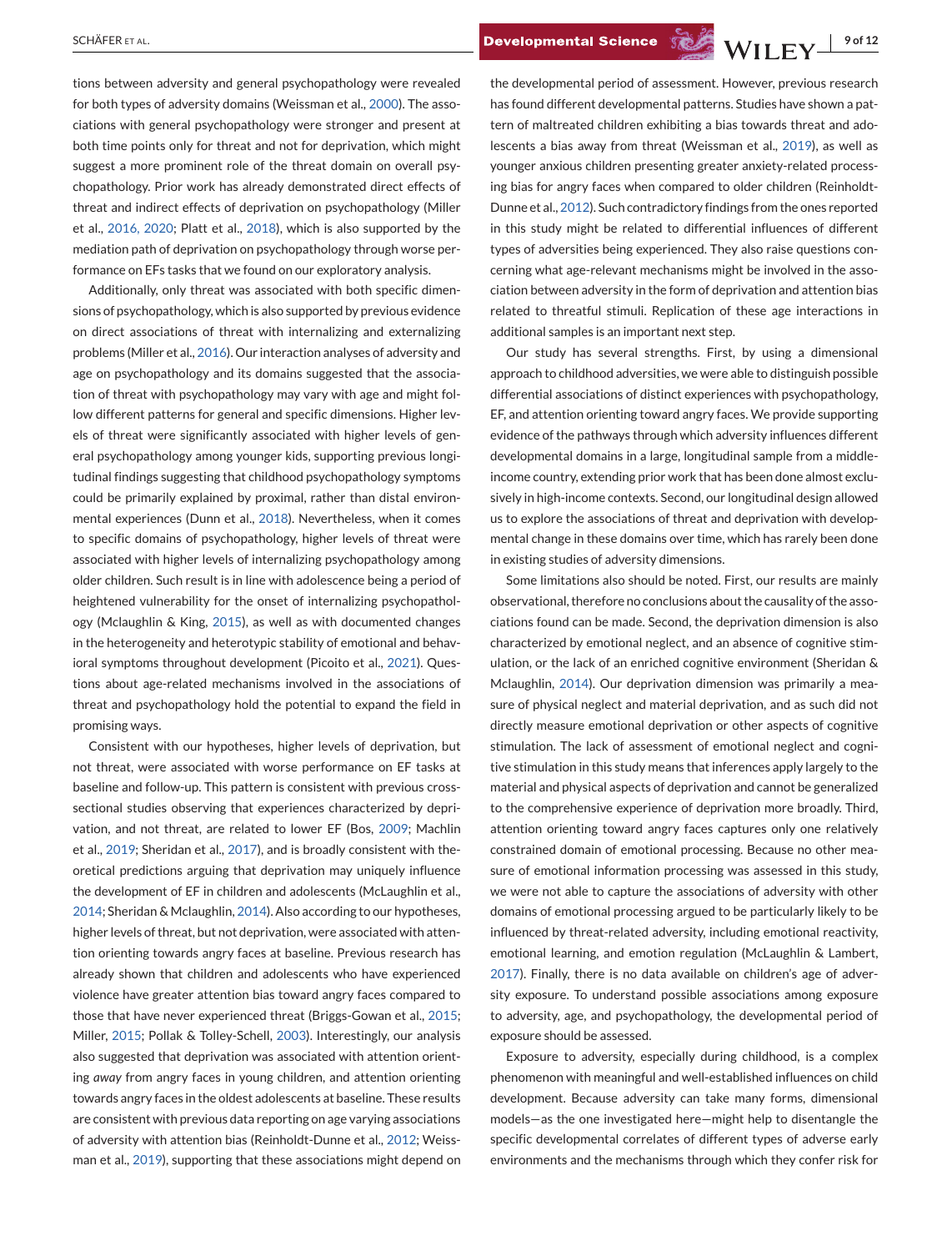tions between adversity and general psychopathology were revealed for both types of adversity domains (Weissman et al., [2000\)](#page-11-0). The associations with general psychopathology were stronger and present at both time points only for threat and not for deprivation, which might suggest a more prominent role of the threat domain on overall psychopathology. Prior work has already demonstrated direct effects of threat and indirect effects of deprivation on psychopathology (Miller et al., [2016, 2020;](#page-10-0) Platt et al., [2018\)](#page-10-0), which is also supported by the mediation path of deprivation on psychopathology through worse performance on EFs tasks that we found on our exploratory analysis.

Additionally, only threat was associated with both specific dimensions of psychopathology, which is also supported by previous evidence on direct associations of threat with internalizing and externalizing problems (Miller et al., [2016\)](#page-10-0). Our interaction analyses of adversity and age on psychopathology and its domains suggested that the association of threat with psychopathology may vary with age and might follow different patterns for general and specific dimensions. Higher levels of threat were significantly associated with higher levels of general psychopathology among younger kids, supporting previous longitudinal findings suggesting that childhood psychopathology symptoms could be primarily explained by proximal, rather than distal environmental experiences (Dunn et al., [2018\)](#page-9-0). Nevertheless, when it comes to specific domains of psychopathology, higher levels of threat were associated with higher levels of internalizing psychopathology among older children. Such result is in line with adolescence being a period of heightened vulnerability for the onset of internalizing psychopathology (Mclaughlin & King, [2015\)](#page-10-0), as well as with documented changes in the heterogeneity and heterotypic stability of emotional and behavioral symptoms throughout development (Picoito et al., [2021\)](#page-10-0). Questions about age-related mechanisms involved in the associations of threat and psychopathology hold the potential to expand the field in promising ways.

Consistent with our hypotheses, higher levels of deprivation, but not threat, were associated with worse performance on EF tasks at baseline and follow-up. This pattern is consistent with previous crosssectional studies observing that experiences characterized by deprivation, and not threat, are related to lower EF (Bos, [2009;](#page-9-0) Machlin et al., [2019;](#page-10-0) Sheridan et al., [2017\)](#page-11-0), and is broadly consistent with theoretical predictions arguing that deprivation may uniquely influence the development of EF in children and adolescents (McLaughlin et al., [2014;](#page-10-0) Sheridan & Mclaughlin, [2014\)](#page-11-0). Also according to our hypotheses, higher levels of threat, but not deprivation, were associated with attention orienting towards angry faces at baseline. Previous research has already shown that children and adolescents who have experienced violence have greater attention bias toward angry faces compared to those that have never experienced threat (Briggs-Gowan et al., [2015;](#page-9-0) Miller, [2015;](#page-10-0) Pollak & Tolley-Schell, [2003\)](#page-10-0). Interestingly, our analysis also suggested that deprivation was associated with attention orienting *away* from angry faces in young children, and attention orienting towards angry faces in the oldest adolescents at baseline. These results are consistent with previous data reporting on age varying associations of adversity with attention bias (Reinholdt-Dunne et al., [2012;](#page-10-0) Weissman et al., [2019\)](#page-11-0), supporting that these associations might depend on

the developmental period of assessment. However, previous research has found different developmental patterns. Studies have shown a pattern of maltreated children exhibiting a bias towards threat and adolescents a bias away from threat (Weissman et al., [2019\)](#page-11-0), as well as younger anxious children presenting greater anxiety-related processing bias for angry faces when compared to older children (Reinholdt-Dunne et al., [2012\)](#page-10-0). Such contradictory findings from the ones reported in this study might be related to differential influences of different types of adversities being experienced. They also raise questions concerning what age-relevant mechanisms might be involved in the association between adversity in the form of deprivation and attention bias related to threatful stimuli. Replication of these age interactions in additional samples is an important next step.

Our study has several strengths. First, by using a dimensional approach to childhood adversities, we were able to distinguish possible differential associations of distinct experiences with psychopathology, EF, and attention orienting toward angry faces. We provide supporting evidence of the pathways through which adversity influences different developmental domains in a large, longitudinal sample from a middleincome country, extending prior work that has been done almost exclusively in high-income contexts. Second, our longitudinal design allowed us to explore the associations of threat and deprivation with developmental change in these domains over time, which has rarely been done in existing studies of adversity dimensions.

Some limitations also should be noted. First, our results are mainly observational, therefore no conclusions about the causality of the associations found can be made. Second, the deprivation dimension is also characterized by emotional neglect, and an absence of cognitive stimulation, or the lack of an enriched cognitive environment (Sheridan & Mclaughlin, [2014\)](#page-11-0). Our deprivation dimension was primarily a measure of physical neglect and material deprivation, and as such did not directly measure emotional deprivation or other aspects of cognitive stimulation. The lack of assessment of emotional neglect and cognitive stimulation in this study means that inferences apply largely to the material and physical aspects of deprivation and cannot be generalized to the comprehensive experience of deprivation more broadly. Third, attention orienting toward angry faces captures only one relatively constrained domain of emotional processing. Because no other measure of emotional information processing was assessed in this study, we were not able to capture the associations of adversity with other domains of emotional processing argued to be particularly likely to be influenced by threat-related adversity, including emotional reactivity, emotional learning, and emotion regulation (McLaughlin & Lambert, [2017\)](#page-10-0). Finally, there is no data available on children's age of adversity exposure. To understand possible associations among exposure to adversity, age, and psychopathology, the developmental period of exposure should be assessed.

Exposure to adversity, especially during childhood, is a complex phenomenon with meaningful and well-established influences on child development. Because adversity can take many forms, dimensional models—as the one investigated here—might help to disentangle the specific developmental correlates of different types of adverse early environments and the mechanisms through which they confer risk for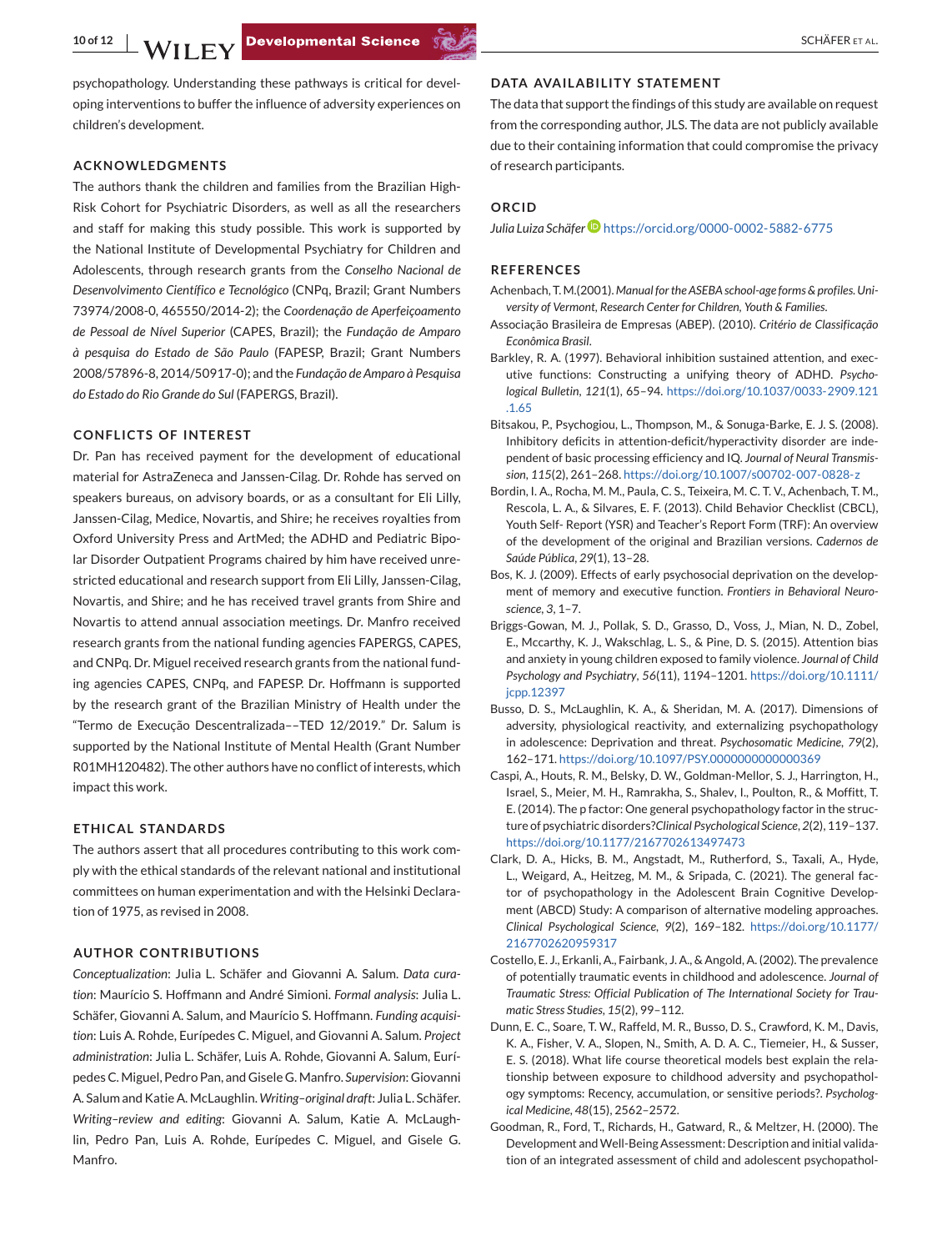<span id="page-9-0"></span>psychopathology. Understanding these pathways is critical for developing interventions to buffer the influence of adversity experiences on children's development.

#### **ACKNOWLEDGMENTS**

The authors thank the children and families from the Brazilian High-Risk Cohort for Psychiatric Disorders, as well as all the researchers and staff for making this study possible. This work is supported by the National Institute of Developmental Psychiatry for Children and Adolescents, through research grants from the *Conselho Nacional de Desenvolvimento Científico e Tecnológico* (CNPq, Brazil; Grant Numbers 73974/2008-0, 465550/2014-2); the *Coordenação de Aperfeiçoamento de Pessoal de Nível Superior* (CAPES, Brazil); the *Fundação de Amparo à pesquisa do Estado de São Paulo* (FAPESP, Brazil; Grant Numbers 2008/57896-8, 2014/50917-0); and the *Fundação de Amparo à Pesquisa do Estado do Rio Grande do Sul* (FAPERGS, Brazil).

#### **CONFLICTS OF INTEREST**

Dr. Pan has received payment for the development of educational material for AstraZeneca and Janssen-Cilag. Dr. Rohde has served on speakers bureaus, on advisory boards, or as a consultant for Eli Lilly, Janssen-Cilag, Medice, Novartis, and Shire; he receives royalties from Oxford University Press and ArtMed; the ADHD and Pediatric Bipolar Disorder Outpatient Programs chaired by him have received unrestricted educational and research support from Eli Lilly, Janssen-Cilag, Novartis, and Shire; and he has received travel grants from Shire and Novartis to attend annual association meetings. Dr. Manfro received research grants from the national funding agencies FAPERGS, CAPES, and CNPq. Dr. Miguel received research grants from the national funding agencies CAPES, CNPq, and FAPESP. Dr. Hoffmann is supported by the research grant of the Brazilian Ministry of Health under the "Termo de Execução Descentralizada––TED 12/2019." Dr. Salum is supported by the National Institute of Mental Health (Grant Number R01MH120482). The other authors have no conflict of interests, which impact this work.

#### **ETHICAL STANDARDS**

The authors assert that all procedures contributing to this work comply with the ethical standards of the relevant national and institutional committees on human experimentation and with the Helsinki Declaration of 1975, as revised in 2008.

#### **AUTHOR CONTRIBUTIONS**

*Conceptualization*: Julia L. Schäfer and Giovanni A. Salum. *Data curation*: Maurício S. Hoffmann and André Simioni. *Formal analysis*: Julia L. Schäfer, Giovanni A. Salum, and Maurício S. Hoffmann. *Funding acquisition*: Luis A. Rohde, Eurípedes C. Miguel, and Giovanni A. Salum. *Project administration*: Julia L. Schäfer, Luis A. Rohde, Giovanni A. Salum, Eurípedes C. Miguel, Pedro Pan, and Gisele G. Manfro. *Supervision*: Giovanni A. Salum and Katie A. McLaughlin. *Writing–original draft*: Julia L. Schäfer. *Writing–review and editing*: Giovanni A. Salum, Katie A. McLaughlin, Pedro Pan, Luis A. Rohde, Eurípedes C. Miguel, and Gisele G. Manfro.

#### **DATA AVAILABILITY STATEMENT**

The data that support the findings of this study are available on request from the corresponding author, JLS. The data are not publicly available due to their containing information that could compromise the privacy of research participants.

#### **ORCID**

*Julia Luiza Schäfe[r](https://orcid.org/0000-0002-5882-6775)* <https://orcid.org/0000-0002-5882-6775>

#### **REFERENCES**

- Achenbach, T.M.(2001). *Manual for the ASEBA school-age forms & profiles*.*University of Vermont, Research Center for Children, Youth & Families*.
- Associação Brasileira de Empresas (ABEP). (2010). *Critério de Classificação Econômica Brasil*.
- Barkley, R. A. (1997). Behavioral inhibition sustained attention, and executive functions: Constructing a unifying theory of ADHD. *Psychological Bulletin*, *121*(1), 65–94. [https://doi.org/10.1037/0033-2909.121](https://doi.org/10.1037/0033-2909.121.1.65) [.1.65](https://doi.org/10.1037/0033-2909.121.1.65)
- Bitsakou, P., Psychogiou, L., Thompson, M., & Sonuga-Barke, E. J. S. (2008). Inhibitory deficits in attention-deficit/hyperactivity disorder are independent of basic processing efficiency and IQ. *Journal of Neural Transmission*, *115*(2), 261–268. <https://doi.org/10.1007/s00702-007-0828-z>
- Bordin, I. A., Rocha, M. M., Paula, C. S., Teixeira, M. C. T. V., Achenbach, T. M., Rescola, L. A., & Silvares, E. F. (2013). Child Behavior Checklist (CBCL), Youth Self- Report (YSR) and Teacher's Report Form (TRF): An overview of the development of the original and Brazilian versions. *Cadernos de Saúde Pública*, *29*(1), 13–28.
- Bos, K. J. (2009). Effects of early psychosocial deprivation on the development of memory and executive function. *Frontiers in Behavioral Neuroscience*, *3*, 1–7.
- Briggs-Gowan, M. J., Pollak, S. D., Grasso, D., Voss, J., Mian, N. D., Zobel, E., Mccarthy, K. J., Wakschlag, L. S., & Pine, D. S. (2015). Attention bias and anxiety in young children exposed to family violence. *Journal of Child Psychology and Psychiatry*, *56*(11), 1194–1201. [https://doi.org/10.1111/](https://doi.org/10.1111/jcpp.12397) [jcpp.12397](https://doi.org/10.1111/jcpp.12397)
- Busso, D. S., McLaughlin, K. A., & Sheridan, M. A. (2017). Dimensions of adversity, physiological reactivity, and externalizing psychopathology in adolescence: Deprivation and threat. *Psychosomatic Medicine*, *79*(2), 162–171. <https://doi.org/10.1097/PSY.0000000000000369>
- Caspi, A., Houts, R. M., Belsky, D. W., Goldman-Mellor, S. J., Harrington, H., Israel, S., Meier, M. H., Ramrakha, S., Shalev, I., Poulton, R., & Moffitt, T. E. (2014). The p factor: One general psychopathology factor in the structure of psychiatric disorders?*Clinical Psychological Science*, *2*(2), 119–137. <https://doi.org/10.1177/2167702613497473>
- Clark, D. A., Hicks, B. M., Angstadt, M., Rutherford, S., Taxali, A., Hyde, L., Weigard, A., Heitzeg, M. M., & Sripada, C. (2021). The general factor of psychopathology in the Adolescent Brain Cognitive Development (ABCD) Study: A comparison of alternative modeling approaches. *Clinical Psychological Science*, *9*(2), 169–182. [https://doi.org/10.1177/](https://doi.org/10.1177/2167702620959317) [2167702620959317](https://doi.org/10.1177/2167702620959317)
- Costello, E. J., Erkanli, A., Fairbank, J. A., & Angold, A. (2002). The prevalence of potentially traumatic events in childhood and adolescence. *Journal of Traumatic Stress: Official Publication of The International Society for Traumatic Stress Studies*, *15*(2), 99–112.
- Dunn, E. C., Soare, T. W., Raffeld, M. R., Busso, D. S., Crawford, K. M., Davis, K. A., Fisher, V. A., Slopen, N., Smith, A. D. A. C., Tiemeier, H., & Susser, E. S. (2018). What life course theoretical models best explain the relationship between exposure to childhood adversity and psychopathology symptoms: Recency, accumulation, or sensitive periods?. *Psychological Medicine*, *48*(15), 2562–2572.
- Goodman, R., Ford, T., Richards, H., Gatward, R., & Meltzer, H. (2000). The Development andWell-Being Assessment: Description and initial validation of an integrated assessment of child and adolescent psychopathol-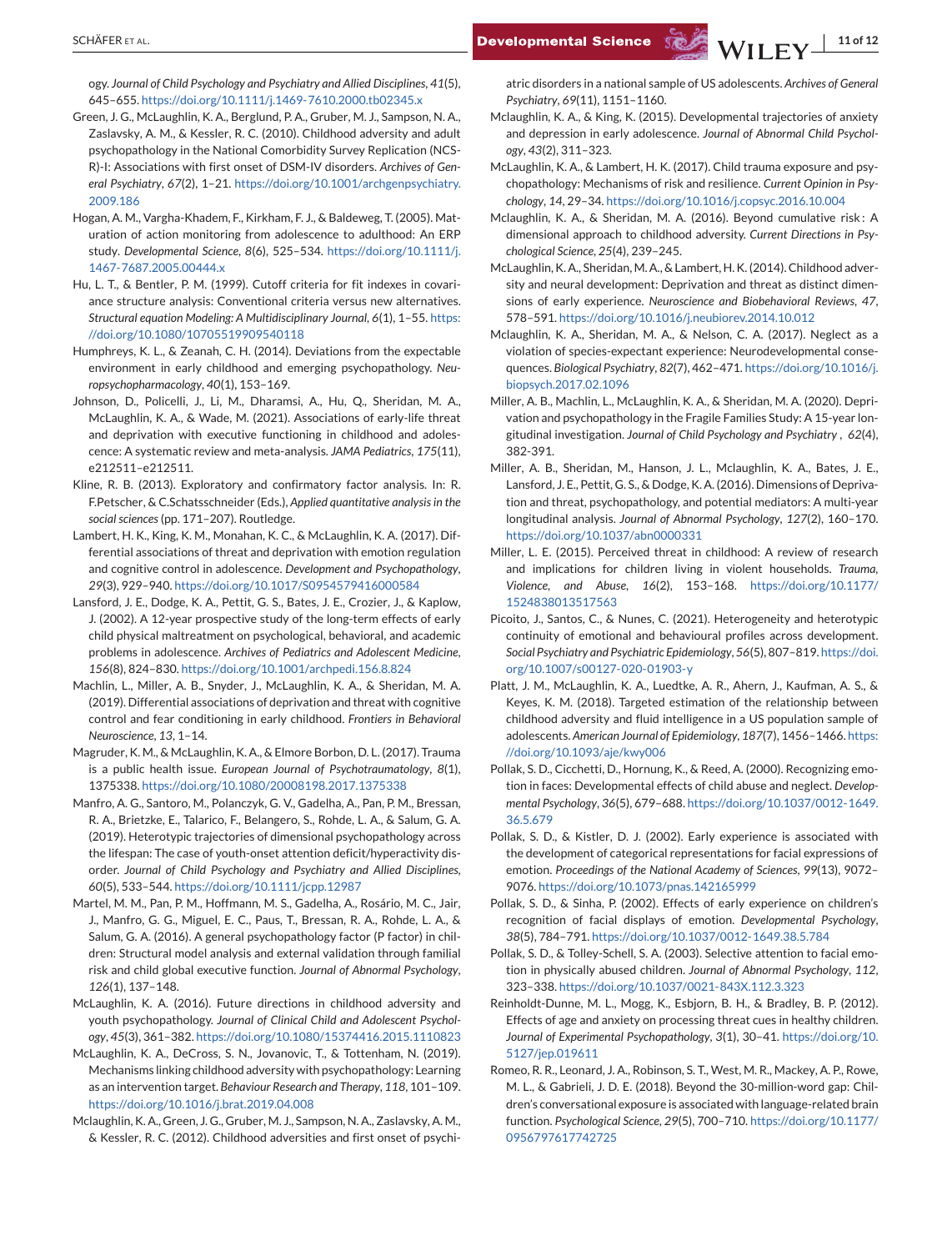<span id="page-10-0"></span>ogy. *Journal of Child Psychology and Psychiatry and Allied Disciplines*, *41*(5), 645–655. <https://doi.org/10.1111/j.1469-7610.2000.tb02345.x>

- Green, J. G., McLaughlin, K. A., Berglund, P. A., Gruber, M. J., Sampson, N. A., Zaslavsky, A. M., & Kessler, R. C. (2010). Childhood adversity and adult psychopathology in the National Comorbidity Survey Replication (NCS-R)-I: Associations with first onset of DSM-IV disorders. *Archives of General Psychiatry*, *67*(2), 1–21. [https://doi.org/10.1001/archgenpsychiatry.](https://doi.org/10.1001/archgenpsychiatry.2009.186) [2009.186](https://doi.org/10.1001/archgenpsychiatry.2009.186)
- Hogan, A. M., Vargha-Khadem, F., Kirkham, F. J., & Baldeweg, T. (2005). Maturation of action monitoring from adolescence to adulthood: An ERP study. *Developmental Science*, *8*(6), 525–534. [https://doi.org/10.1111/j.](https://doi.org/10.1111/j.1467-7687.2005.00444.x) [1467-7687.2005.00444.x](https://doi.org/10.1111/j.1467-7687.2005.00444.x)
- Hu, L. T., & Bentler, P. M. (1999). Cutoff criteria for fit indexes in covariance structure analysis: Conventional criteria versus new alternatives. *Structural equation Modeling: A Multidisciplinary Journal*, *6*(1), 1–55. [https:](https://doi.org/10.1080/10705519909540118) [//doi.org/10.1080/10705519909540118](https://doi.org/10.1080/10705519909540118)
- Humphreys, K. L., & Zeanah, C. H. (2014). Deviations from the expectable environment in early childhood and emerging psychopathology. *Neuropsychopharmacology*, *40*(1), 153–169.
- Johnson, D., Policelli, J., Li, M., Dharamsi, A., Hu, Q., Sheridan, M. A., McLaughlin, K. A., & Wade, M. (2021). Associations of early-life threat and deprivation with executive functioning in childhood and adolescence: A systematic review and meta-analysis. *JAMA Pediatrics*, *175*(11), e212511–e212511.
- Kline, R. B. (2013). Exploratory and confirmatory factor analysis. In: R. F.Petscher, & C.Schatsschneider (Eds.), *Applied quantitative analysis in the social sciences*(pp. 171–207). Routledge.
- Lambert, H. K., King, K. M., Monahan, K. C., & McLaughlin, K. A. (2017). Differential associations of threat and deprivation with emotion regulation and cognitive control in adolescence. *Development and Psychopathology*, *29*(3), 929–940. <https://doi.org/10.1017/S0954579416000584>
- Lansford, J. E., Dodge, K. A., Pettit, G. S., Bates, J. E., Crozier, J., & Kaplow, J. (2002). A 12-year prospective study of the long-term effects of early child physical maltreatment on psychological, behavioral, and academic problems in adolescence. *Archives of Pediatrics and Adolescent Medicine*, *156*(8), 824–830. <https://doi.org/10.1001/archpedi.156.8.824>
- Machlin, L., Miller, A. B., Snyder, J., McLaughlin, K. A., & Sheridan, M. A. (2019). Differential associations of deprivation and threat with cognitive control and fear conditioning in early childhood. *Frontiers in Behavioral Neuroscience*, *13*, 1–14.
- Magruder, K. M., & McLaughlin, K. A., & Elmore Borbon, D. L. (2017). Trauma is a public health issue. *European Journal of Psychotraumatology*, *8*(1), 1375338. <https://doi.org/10.1080/20008198.2017.1375338>
- Manfro, A. G., Santoro, M., Polanczyk, G. V., Gadelha, A., Pan, P. M., Bressan, R. A., Brietzke, E., Talarico, F., Belangero, S., Rohde, L. A., & Salum, G. A. (2019). Heterotypic trajectories of dimensional psychopathology across the lifespan: The case of youth-onset attention deficit/hyperactivity disorder. *Journal of Child Psychology and Psychiatry and Allied Disciplines*, *60*(5), 533–544. <https://doi.org/10.1111/jcpp.12987>
- Martel, M. M., Pan, P. M., Hoffmann, M. S., Gadelha, A., Rosário, M. C., Jair, J., Manfro, G. G., Miguel, E. C., Paus, T., Bressan, R. A., Rohde, L. A., & Salum, G. A. (2016). A general psychopathology factor (P factor) in children: Structural model analysis and external validation through familial risk and child global executive function. *Journal of Abnormal Psychology*, *126*(1), 137–148.
- McLaughlin, K. A. (2016). Future directions in childhood adversity and youth psychopathology. *Journal of Clinical Child and Adolescent Psychology*, *45*(3), 361–382. <https://doi.org/10.1080/15374416.2015.1110823>
- McLaughlin, K. A., DeCross, S. N., Jovanovic, T., & Tottenham, N. (2019). Mechanisms linking childhood adversity with psychopathology: Learning as an intervention target. *Behaviour Research and Therapy*, *118*, 101–109. <https://doi.org/10.1016/j.brat.2019.04.008>
- Mclaughlin, K. A., Green, J. G., Gruber, M. J., Sampson, N. A., Zaslavsky, A. M., & Kessler, R. C. (2012). Childhood adversities and first onset of psychi-

atric disorders in a national sample of US adolescents. *Archives of General Psychiatry*, *69*(11), 1151–1160.

- Mclaughlin, K. A., & King, K. (2015). Developmental trajectories of anxiety and depression in early adolescence. *Journal of Abnormal Child Psychology*, *43*(2), 311–323.
- McLaughlin, K. A., & Lambert, H. K. (2017). Child trauma exposure and psychopathology: Mechanisms of risk and resilience. *Current Opinion in Psychology*, *14*, 29–34. <https://doi.org/10.1016/j.copsyc.2016.10.004>
- Mclaughlin, K. A., & Sheridan, M. A. (2016). Beyond cumulative risk : A dimensional approach to childhood adversity. *Current Directions in Psychological Science*, *25*(4), 239–245.
- McLaughlin, K. A., Sheridan, M. A., & Lambert, H. K. (2014). Childhood adversity and neural development: Deprivation and threat as distinct dimensions of early experience. *Neuroscience and Biobehavioral Reviews*, *47*, 578–591. <https://doi.org/10.1016/j.neubiorev.2014.10.012>
- Mclaughlin, K. A., Sheridan, M. A., & Nelson, C. A. (2017). Neglect as a violation of species-expectant experience: Neurodevelopmental consequences. *Biological Psychiatry*, *82*(7), 462–471. [https://doi.org/10.1016/j.](https://doi.org/10.1016/j.biopsych.2017.02.1096) [biopsych.2017.02.1096](https://doi.org/10.1016/j.biopsych.2017.02.1096)
- Miller, A. B., Machlin, L., McLaughlin, K. A., & Sheridan, M. A. (2020). Deprivation and psychopathology in the Fragile Families Study: A 15-year longitudinal investigation. *Journal of Child Psychology and Psychiatry* , *62*(4), 382-391.
- Miller, A. B., Sheridan, M., Hanson, J. L., Mclaughlin, K. A., Bates, J. E., Lansford, J. E., Pettit, G. S., & Dodge, K. A. (2016). Dimensions of Deprivation and threat, psychopathology, and potential mediators: A multi-year longitudinal analysis. *Journal of Abnormal Psychology*, *127*(2), 160–170. <https://doi.org/10.1037/abn0000331>
- Miller, L. E. (2015). Perceived threat in childhood: A review of research and implications for children living in violent households. *Trauma, Violence, and Abuse*, *16*(2), 153–168. [https://doi.org/10.1177/](https://doi.org/10.1177/1524838013517563) [1524838013517563](https://doi.org/10.1177/1524838013517563)
- Picoito, J., Santos, C., & Nunes, C. (2021). Heterogeneity and heterotypic continuity of emotional and behavioural profiles across development. *Social Psychiatry and Psychiatric Epidemiology*, *56*(5), 807–819. [https://doi.](https://doi.org/10.1007/s00127-020-01903-y) [org/10.1007/s00127-020-01903-y](https://doi.org/10.1007/s00127-020-01903-y)
- Platt, J. M., McLaughlin, K. A., Luedtke, A. R., Ahern, J., Kaufman, A. S., & Keyes, K. M. (2018). Targeted estimation of the relationship between childhood adversity and fluid intelligence in a US population sample of adolescents. *American Journal of Epidemiology*, *187*(7), 1456–1466. [https:](https://doi.org/10.1093/aje/kwy006) [//doi.org/10.1093/aje/kwy006](https://doi.org/10.1093/aje/kwy006)
- Pollak, S. D., Cicchetti, D., Hornung, K., & Reed, A. (2000). Recognizing emotion in faces: Developmental effects of child abuse and neglect. *Developmental Psychology*, *36*(5), 679–688. [https://doi.org/10.1037/0012-1649.](https://doi.org/10.1037/0012-1649.36.5.679) [36.5.679](https://doi.org/10.1037/0012-1649.36.5.679)
- Pollak, S. D., & Kistler, D. J. (2002). Early experience is associated with the development of categorical representations for facial expressions of emotion. *Proceedings of the National Academy of Sciences*, *99*(13), 9072– 9076. <https://doi.org/10.1073/pnas.142165999>
- Pollak, S. D., & Sinha, P. (2002). Effects of early experience on children's recognition of facial displays of emotion. *Developmental Psychology*, *38*(5), 784–791. <https://doi.org/10.1037/0012-1649.38.5.784>
- Pollak, S. D., & Tolley-Schell, S. A. (2003). Selective attention to facial emotion in physically abused children. *Journal of Abnormal Psychology*, *112*, 323–338. <https://doi.org/10.1037/0021-843X.112.3.323>
- Reinholdt-Dunne, M. L., Mogg, K., Esbjorn, B. H., & Bradley, B. P. (2012). Effects of age and anxiety on processing threat cues in healthy children. *Journal of Experimental Psychopathology*, *3*(1), 30–41. [https://doi.org/10.](https://doi.org/10.5127/jep.019611) [5127/jep.019611](https://doi.org/10.5127/jep.019611)
- Romeo, R. R., Leonard, J. A., Robinson, S. T., West, M. R., Mackey, A. P., Rowe, M. L., & Gabrieli, J. D. E. (2018). Beyond the 30-million-word gap: Children's conversational exposure is associated with language-related brain function. *Psychological Science*, *29*(5), 700–710. [https://doi.org/10.1177/](https://doi.org/10.1177/0956797617742725) [0956797617742725](https://doi.org/10.1177/0956797617742725)